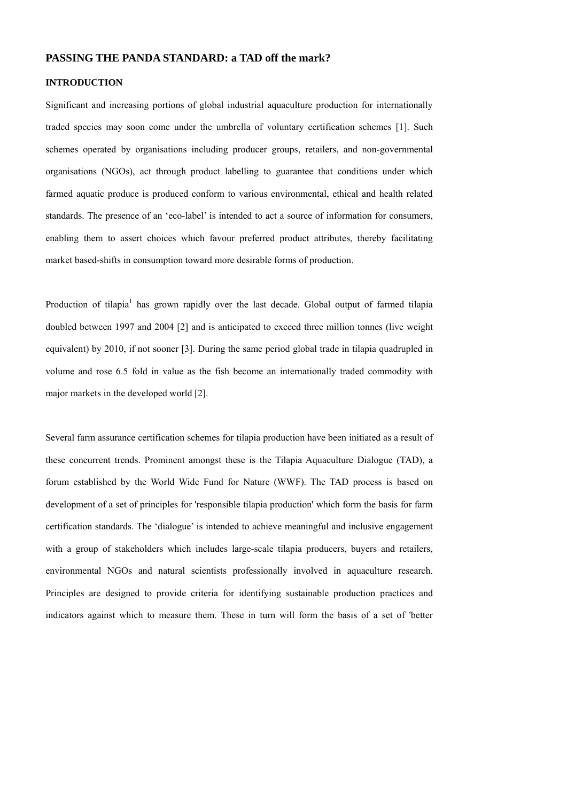# **PASSING THE PANDA STANDARD: a TAD off the mark?**

# **INTRODUCTION**

Significant and increasing portions of global industrial aquaculture production for internationally traded species may soon come under the umbrella of voluntary certification schemes [1]. Such schemes operated by organisations including producer groups, retailers, and non-governmental organisations (NGOs), act through product labelling to guarantee that conditions under which farmed aquatic produce is produced conform to various environmental, ethical and health related standards. The presence of an 'eco-label' is intended to act a source of information for consumers, enabling them to assert choices which favour preferred product attributes, thereby facilitating market based-shifts in consumption toward more desirable forms of production.

Production of tilapia<sup>1</sup> has grown rapidly over the last decade. Global output of farmed tilapia doubled between 1997 and 2004 [2] and is anticipated to exceed three million tonnes (live weight equivalent) by 2010, if not sooner [3]. During the same period global trade in tilapia quadrupled in volume and rose 6.5 fold in value as the fish become an internationally traded commodity with major markets in the developed world [2].

Several farm assurance certification schemes for tilapia production have been initiated as a result of these concurrent trends. Prominent amongst these is the Tilapia Aquaculture Dialogue (TAD), a forum established by the World Wide Fund for Nature (WWF). The TAD process is based on development of a set of principles for 'responsible tilapia production' which form the basis for farm certification standards. The 'dialogue' is intended to achieve meaningful and inclusive engagement with a group of stakeholders which includes large-scale tilapia producers, buyers and retailers, environmental NGOs and natural scientists professionally involved in aquaculture research. Principles are designed to provide criteria for identifying sustainable production practices and indicators against which to measure them. These in turn will form the basis of a set of 'better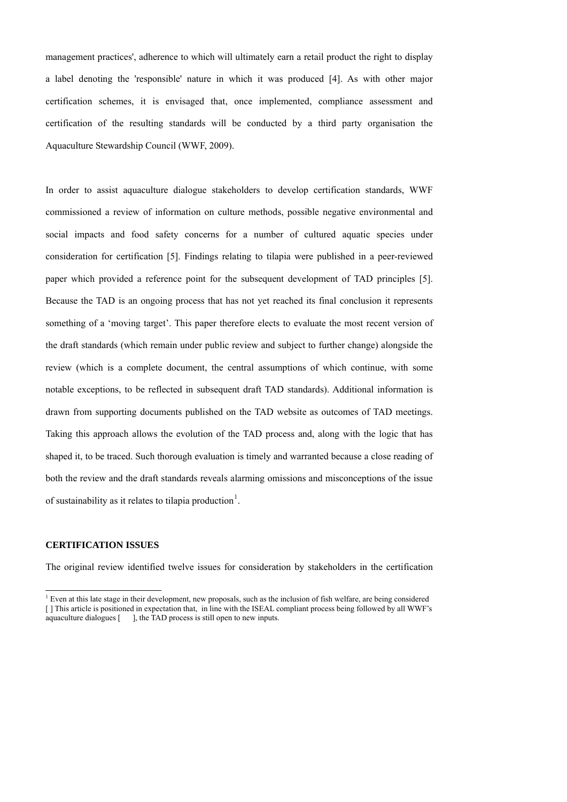management practices', adherence to which will ultimately earn a retail product the right to display a label denoting the 'responsible' nature in which it was produced [4]. As with other major certification schemes, it is envisaged that, once implemented, compliance assessment and certification of the resulting standards will be conducted by a third party organisation the Aquaculture Stewardship Council (WWF, 2009).

In order to assist aquaculture dialogue stakeholders to develop certification standards, WWF commissioned a review of information on culture methods, possible negative environmental and social impacts and food safety concerns for a number of cultured aquatic species under consideration for certification [5]. Findings relating to tilapia were published in a peer-reviewed paper which provided a reference point for the subsequent development of TAD principles [5]. Because the TAD is an ongoing process that has not yet reached its final conclusion it represents something of a 'moving target'. This paper therefore elects to evaluate the most recent version of the draft standards (which remain under public review and subject to further change) alongside the review (which is a complete document, the central assumptions of which continue, with some notable exceptions, to be reflected in subsequent draft TAD standards). Additional information is drawn from supporting documents published on the TAD website as outcomes of TAD meetings. Taking this approach allows the evolution of the TAD process and, along with the logic that has shaped it, to be traced. Such thorough evaluation is timely and warranted because a close reading of both the review and the draft standards reveals alarming omissions and misconceptions of the issue of sustainability as it relates to tilapia production<sup>[1](#page-1-0)</sup>.

### **CERTIFICATION ISSUES**

l

The original review identified twelve issues for consideration by stakeholders in the certification

<span id="page-1-0"></span><sup>&</sup>lt;sup>1</sup> Even at this late stage in their development, new proposals, such as the inclusion of fish welfare, are being considered [ ] This article is positioned in expectation that, in line with the ISEAL compliant process being followed by all WWF's aquaculture dialogues [ ], the TAD process is still open to new inputs.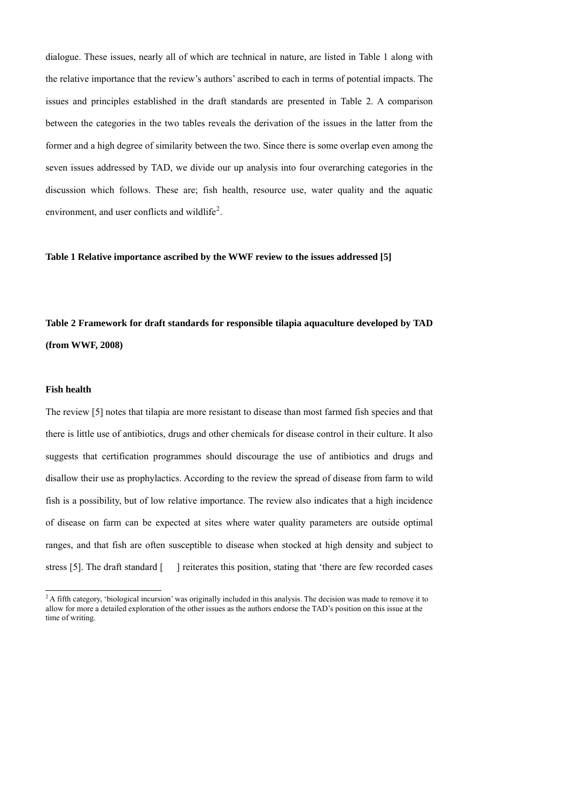dialogue. These issues, nearly all of which are technical in nature, are listed in Table 1 along with the relative importance that the review's authors' ascribed to each in terms of potential impacts. The issues and principles established in the draft standards are presented in Table 2. A comparison between the categories in the two tables reveals the derivation of the issues in the latter from the former and a high degree of similarity between the two. Since there is some overlap even among the seven issues addressed by TAD, we divide our up analysis into four overarching categories in the discussion which follows. These are; fish health, resource use, water quality and the aquatic environment, and user conflicts and wildlife<sup>[2](#page-2-0)</sup>.

**Table 1 Relative importance ascribed by the WWF review to the issues addressed [5]** 

**Table 2 Framework for draft standards for responsible tilapia aquaculture developed by TAD (from WWF, 2008)** 

# **Fish health**

l

The review [5] notes that tilapia are more resistant to disease than most farmed fish species and that there is little use of antibiotics, drugs and other chemicals for disease control in their culture. It also suggests that certification programmes should discourage the use of antibiotics and drugs and disallow their use as prophylactics. According to the review the spread of disease from farm to wild fish is a possibility, but of low relative importance. The review also indicates that a high incidence of disease on farm can be expected at sites where water quality parameters are outside optimal ranges, and that fish are often susceptible to disease when stocked at high density and subject to stress [5]. The draft standard [ ] reiterates this position, stating that 'there are few recorded cases

<span id="page-2-0"></span><sup>&</sup>lt;sup>2</sup> A fifth category, 'biological incursion' was originally included in this analysis. The decision was made to remove it to allow for more a detailed exploration of the other issues as the authors endorse the TAD's position on this issue at the time of writing.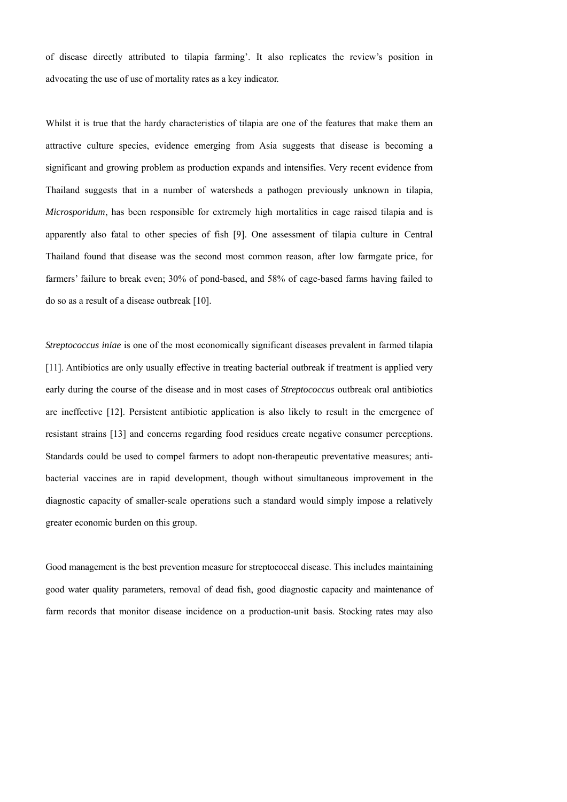of disease directly attributed to tilapia farming'. It also replicates the review's position in advocating the use of use of mortality rates as a key indicator.

Whilst it is true that the hardy characteristics of tilapia are one of the features that make them an attractive culture species, evidence emerging from Asia suggests that disease is becoming a significant and growing problem as production expands and intensifies. Very recent evidence from Thailand suggests that in a number of watersheds a pathogen previously unknown in tilapia, *Microsporidum*, has been responsible for extremely high mortalities in cage raised tilapia and is apparently also fatal to other species of fish [9]. One assessment of tilapia culture in Central Thailand found that disease was the second most common reason, after low farmgate price, for farmers' failure to break even; 30% of pond-based, and 58% of cage-based farms having failed to do so as a result of a disease outbreak [10].

*Streptococcus iniae* is one of the most economically significant diseases prevalent in farmed tilapia [11]. Antibiotics are only usually effective in treating bacterial outbreak if treatment is applied very early during the course of the disease and in most cases of *Streptococcus* outbreak oral antibiotics are ineffective [12]. Persistent antibiotic application is also likely to result in the emergence of resistant strains [13] and concerns regarding food residues create negative consumer perceptions. Standards could be used to compel farmers to adopt non-therapeutic preventative measures; antibacterial vaccines are in rapid development, though without simultaneous improvement in the diagnostic capacity of smaller-scale operations such a standard would simply impose a relatively greater economic burden on this group.

Good management is the best prevention measure for streptococcal disease. This includes maintaining good water quality parameters, removal of dead fish, good diagnostic capacity and maintenance of farm records that monitor disease incidence on a production-unit basis. Stocking rates may also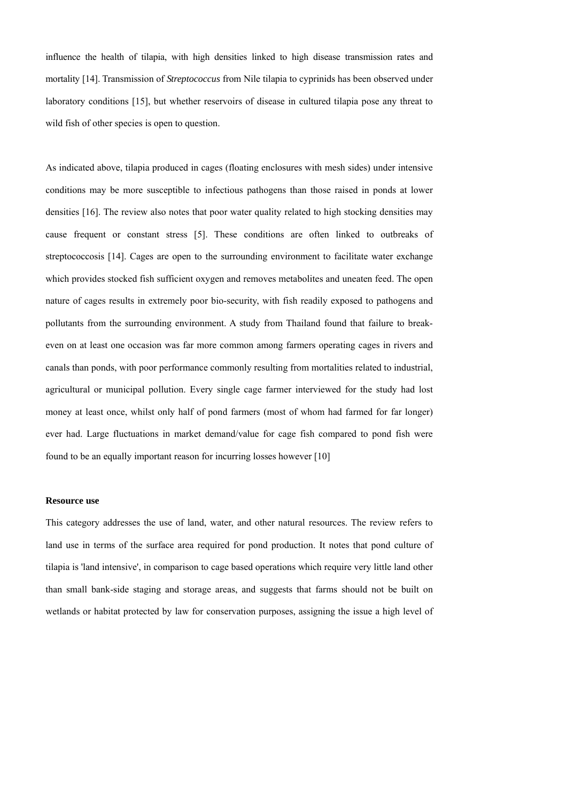influence the health of tilapia, with high densities linked to high disease transmission rates and mortality [14]. Transmission of *Streptococcus* from Nile tilapia to cyprinids has been observed under laboratory conditions [15], but whether reservoirs of disease in cultured tilapia pose any threat to wild fish of other species is open to question.

As indicated above, tilapia produced in cages (floating enclosures with mesh sides) under intensive conditions may be more susceptible to infectious pathogens than those raised in ponds at lower densities [16]. The review also notes that poor water quality related to high stocking densities may cause frequent or constant stress [5]. These conditions are often linked to outbreaks of streptococcosis [14]. Cages are open to the surrounding environment to facilitate water exchange which provides stocked fish sufficient oxygen and removes metabolites and uneaten feed. The open nature of cages results in extremely poor bio-security, with fish readily exposed to pathogens and pollutants from the surrounding environment. A study from Thailand found that failure to breakeven on at least one occasion was far more common among farmers operating cages in rivers and canals than ponds, with poor performance commonly resulting from mortalities related to industrial, agricultural or municipal pollution. Every single cage farmer interviewed for the study had lost money at least once, whilst only half of pond farmers (most of whom had farmed for far longer) ever had. Large fluctuations in market demand/value for cage fish compared to pond fish were found to be an equally important reason for incurring losses however [10]

### **Resource use**

This category addresses the use of land, water, and other natural resources. The review refers to land use in terms of the surface area required for pond production. It notes that pond culture of tilapia is 'land intensive', in comparison to cage based operations which require very little land other than small bank-side staging and storage areas, and suggests that farms should not be built on wetlands or habitat protected by law for conservation purposes, assigning the issue a high level of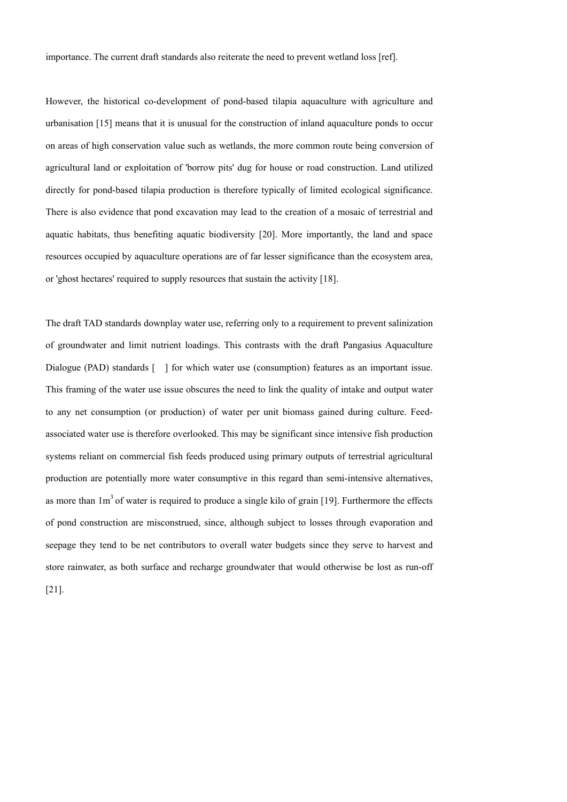importance. The current draft standards also reiterate the need to prevent wetland loss [ref].

However, the historical co-development of pond-based tilapia aquaculture with agriculture and urbanisation [15] means that it is unusual for the construction of inland aquaculture ponds to occur on areas of high conservation value such as wetlands, the more common route being conversion of agricultural land or exploitation of 'borrow pits' dug for house or road construction. Land utilized directly for pond-based tilapia production is therefore typically of limited ecological significance. There is also evidence that pond excavation may lead to the creation of a mosaic of terrestrial and aquatic habitats, thus benefiting aquatic biodiversity [20]. More importantly, the land and space resources occupied by aquaculture operations are of far lesser significance than the ecosystem area, or 'ghost hectares' required to supply resources that sustain the activity [18].

The draft TAD standards downplay water use, referring only to a requirement to prevent salinization of groundwater and limit nutrient loadings. This contrasts with the draft Pangasius Aquaculture Dialogue (PAD) standards  $\lceil \cdot \rceil$  for which water use (consumption) features as an important issue. This framing of the water use issue obscures the need to link the quality of intake and output water to any net consumption (or production) of water per unit biomass gained during culture. Feedassociated water use is therefore overlooked. This may be significant since intensive fish production systems reliant on commercial fish feeds produced using primary outputs of terrestrial agricultural production are potentially more water consumptive in this regard than semi-intensive alternatives, as more than  $1m<sup>3</sup>$  of water is required to produce a single kilo of grain [19]. Furthermore the effects of pond construction are misconstrued, since, although subject to losses through evaporation and seepage they tend to be net contributors to overall water budgets since they serve to harvest and store rainwater, as both surface and recharge groundwater that would otherwise be lost as run-off [21].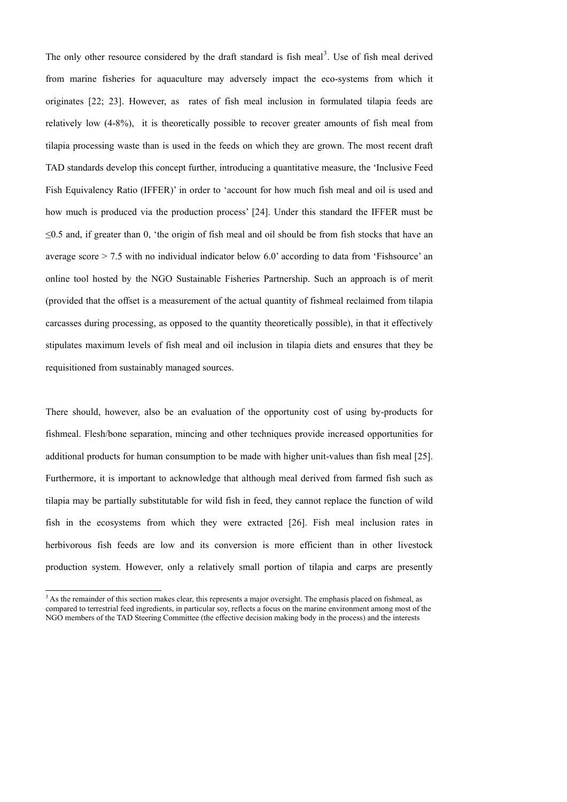The only other resource considered by the draft standard is fish meal<sup>[3](#page-6-0)</sup>. Use of fish meal derived from marine fisheries for aquaculture may adversely impact the eco-systems from which it originates [22; 23]. However, as rates of fish meal inclusion in formulated tilapia feeds are relatively low (4-8%), it is theoretically possible to recover greater amounts of fish meal from tilapia processing waste than is used in the feeds on which they are grown. The most recent draft TAD standards develop this concept further, introducing a quantitative measure, the 'Inclusive Feed Fish Equivalency Ratio (IFFER)' in order to 'account for how much fish meal and oil is used and how much is produced via the production process' [24]. Under this standard the IFFER must be ≤0.5 and, if greater than 0, 'the origin of fish meal and oil should be from fish stocks that have an average score  $> 7.5$  with no individual indicator below 6.0' according to data from 'Fishsource' an online tool hosted by the NGO Sustainable Fisheries Partnership. Such an approach is of merit (provided that the offset is a measurement of the actual quantity of fishmeal reclaimed from tilapia carcasses during processing, as opposed to the quantity theoretically possible), in that it effectively stipulates maximum levels of fish meal and oil inclusion in tilapia diets and ensures that they be requisitioned from sustainably managed sources.

There should, however, also be an evaluation of the opportunity cost of using by-products for fishmeal. Flesh/bone separation, mincing and other techniques provide increased opportunities for additional products for human consumption to be made with higher unit-values than fish meal [25]. Furthermore, it is important to acknowledge that although meal derived from farmed fish such as tilapia may be partially substitutable for wild fish in feed, they cannot replace the function of wild fish in the ecosystems from which they were extracted [26]. Fish meal inclusion rates in herbivorous fish feeds are low and its conversion is more efficient than in other livestock production system. However, only a relatively small portion of tilapia and carps are presently

l

<span id="page-6-0"></span><sup>&</sup>lt;sup>3</sup> As the remainder of this section makes clear, this represents a major oversight. The emphasis placed on fishmeal, as compared to terrestrial feed ingredients, in particular soy, reflects a focus on the marine environment among most of the NGO members of the TAD Steering Committee (the effective decision making body in the process) and the interests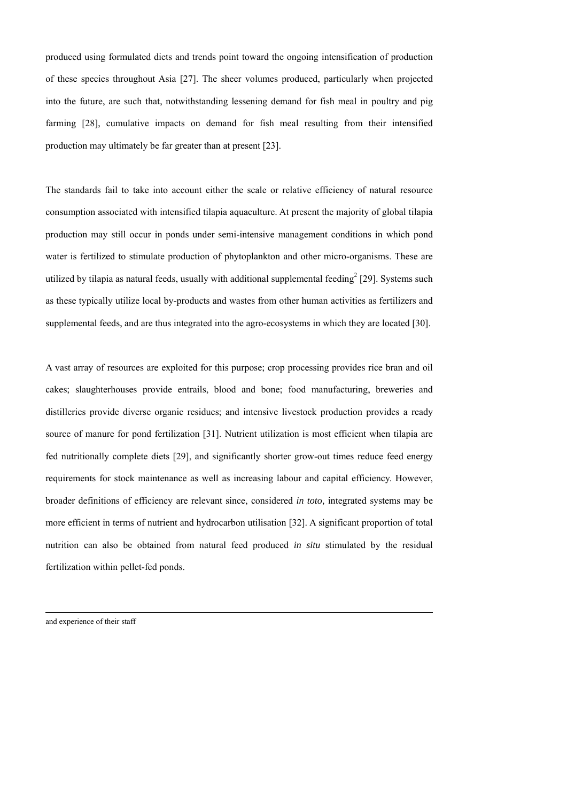produced using formulated diets and trends point toward the ongoing intensification of production of these species throughout Asia [27]. The sheer volumes produced, particularly when projected into the future, are such that, notwithstanding lessening demand for fish meal in poultry and pig farming [28], cumulative impacts on demand for fish meal resulting from their intensified production may ultimately be far greater than at present [23].

The standards fail to take into account either the scale or relative efficiency of natural resource consumption associated with intensified tilapia aquaculture. At present the majority of global tilapia production may still occur in ponds under semi-intensive management conditions in which pond water is fertilized to stimulate production of phytoplankton and other micro-organisms. These are utilized by tilapia as natural feeds, usually with additional supplemental feeding<sup>2</sup> [29]. Systems such as these typically utilize local by-products and wastes from other human activities as fertilizers and supplemental feeds, and are thus integrated into the agro-ecosystems in which they are located [30].

A vast array of resources are exploited for this purpose; crop processing provides rice bran and oil cakes; slaughterhouses provide entrails, blood and bone; food manufacturing, breweries and distilleries provide diverse organic residues; and intensive livestock production provides a ready source of manure for pond fertilization [31]. Nutrient utilization is most efficient when tilapia are fed nutritionally complete diets [29], and significantly shorter grow-out times reduce feed energy requirements for stock maintenance as well as increasing labour and capital efficiency. However, broader definitions of efficiency are relevant since, considered *in toto,* integrated systems may be more efficient in terms of nutrient and hydrocarbon utilisation [32]. A significant proportion of total nutrition can also be obtained from natural feed produced *in situ* stimulated by the residual fertilization within pellet-fed ponds.

and experience of their staff

l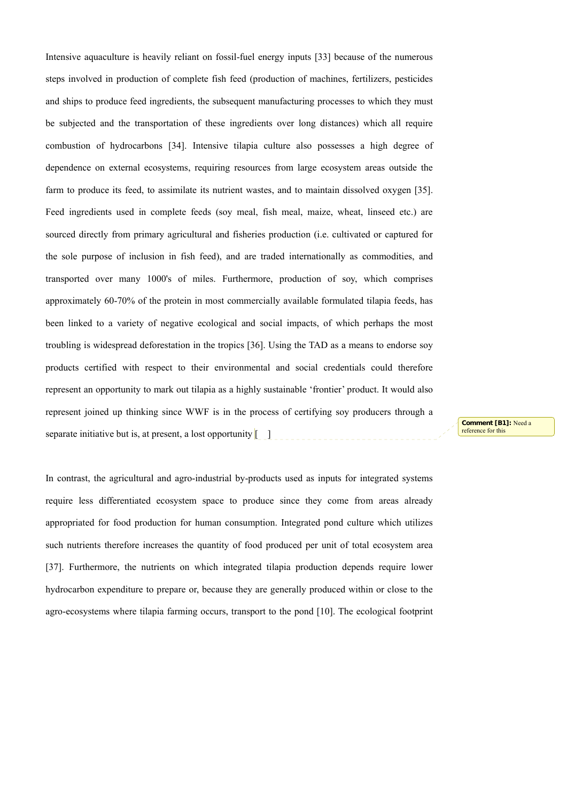Intensive aquaculture is heavily reliant on fossil-fuel energy inputs [33] because of the numerous steps involved in production of complete fish feed (production of machines, fertilizers, pesticides and ships to produce feed ingredients, the subsequent manufacturing processes to which they must be subjected and the transportation of these ingredients over long distances) which all require combustion of hydrocarbons [34]. Intensive tilapia culture also possesses a high degree of dependence on external ecosystems, requiring resources from large ecosystem areas outside the farm to produce its feed, to assimilate its nutrient wastes, and to maintain dissolved oxygen [35]. Feed ingredients used in complete feeds (soy meal, fish meal, maize, wheat, linseed etc.) are sourced directly from primary agricultural and fisheries production (i.e. cultivated or captured for the sole purpose of inclusion in fish feed), and are traded internationally as commodities, and transported over many 1000's of miles. Furthermore, production of soy, which comprises approximately 60-70% of the protein in most commercially available formulated tilapia feeds, has been linked to a variety of negative ecological and social impacts, of which perhaps the most troubling is widespread deforestation in the tropics [36]. Using the TAD as a means to endorse soy products certified with respect to their environmental and social credentials could therefore represent an opportunity to mark out tilapia as a highly sustainable 'frontier' product. It would also represent joined up thinking since WWF is in the process of certifying soy producers through a separate initiative but is, at present, a lost opportunity  $\begin{bmatrix} 1 \end{bmatrix}$ 

**Comment [B1]:** Need a reference for this

In contrast, the agricultural and agro-industrial by-products used as inputs for integrated systems require less differentiated ecosystem space to produce since they come from areas already appropriated for food production for human consumption. Integrated pond culture which utilizes such nutrients therefore increases the quantity of food produced per unit of total ecosystem area [37]. Furthermore, the nutrients on which integrated tilapia production depends require lower hydrocarbon expenditure to prepare or, because they are generally produced within or close to the agro-ecosystems where tilapia farming occurs, transport to the pond [10]. The ecological footprint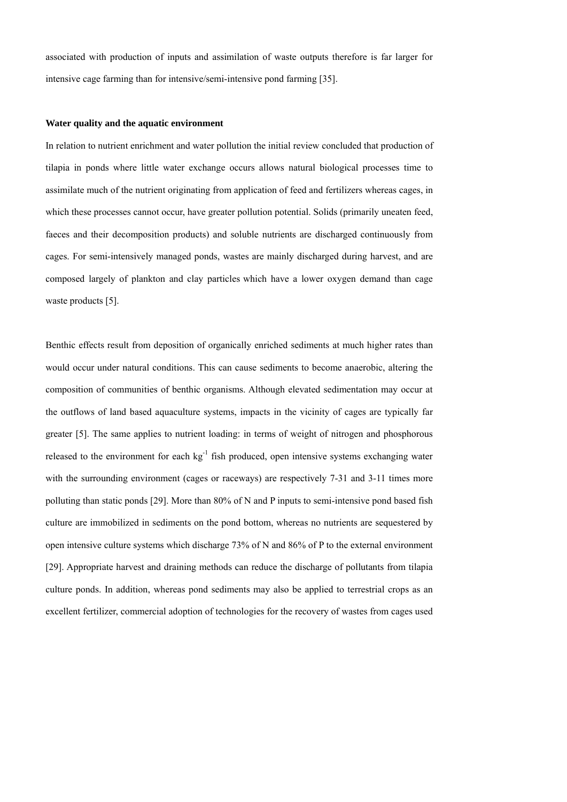associated with production of inputs and assimilation of waste outputs therefore is far larger for intensive cage farming than for intensive/semi-intensive pond farming [35].

# **Water quality and the aquatic environment**

In relation to nutrient enrichment and water pollution the initial review concluded that production of tilapia in ponds where little water exchange occurs allows natural biological processes time to assimilate much of the nutrient originating from application of feed and fertilizers whereas cages, in which these processes cannot occur, have greater pollution potential. Solids (primarily uneaten feed, faeces and their decomposition products) and soluble nutrients are discharged continuously from cages. For semi-intensively managed ponds, wastes are mainly discharged during harvest, and are composed largely of plankton and clay particles which have a lower oxygen demand than cage waste products [5].

Benthic effects result from deposition of organically enriched sediments at much higher rates than would occur under natural conditions. This can cause sediments to become anaerobic, altering the composition of communities of benthic organisms. Although elevated sedimentation may occur at the outflows of land based aquaculture systems, impacts in the vicinity of cages are typically far greater [5]. The same applies to nutrient loading: in terms of weight of nitrogen and phosphorous released to the environment for each  $kg<sup>-1</sup>$  fish produced, open intensive systems exchanging water with the surrounding environment (cages or raceways) are respectively 7-31 and 3-11 times more polluting than static ponds [29]. More than 80% of N and P inputs to semi-intensive pond based fish culture are immobilized in sediments on the pond bottom, whereas no nutrients are sequestered by open intensive culture systems which discharge 73% of N and 86% of P to the external environment [29]. Appropriate harvest and draining methods can reduce the discharge of pollutants from tilapia culture ponds. In addition, whereas pond sediments may also be applied to terrestrial crops as an excellent fertilizer, commercial adoption of technologies for the recovery of wastes from cages used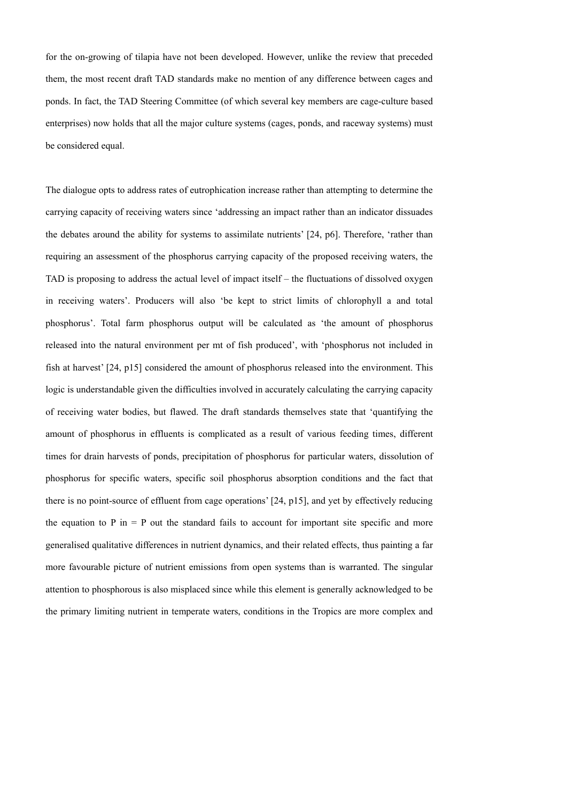for the on-growing of tilapia have not been developed. However, unlike the review that preceded them, the most recent draft TAD standards make no mention of any difference between cages and ponds. In fact, the TAD Steering Committee (of which several key members are cage-culture based enterprises) now holds that all the major culture systems (cages, ponds, and raceway systems) must be considered equal.

The dialogue opts to address rates of eutrophication increase rather than attempting to determine the carrying capacity of receiving waters since 'addressing an impact rather than an indicator dissuades the debates around the ability for systems to assimilate nutrients' [24, p6]. Therefore, 'rather than requiring an assessment of the phosphorus carrying capacity of the proposed receiving waters, the TAD is proposing to address the actual level of impact itself – the fluctuations of dissolved oxygen in receiving waters'. Producers will also 'be kept to strict limits of chlorophyll a and total phosphorus'. Total farm phosphorus output will be calculated as 'the amount of phosphorus released into the natural environment per mt of fish produced', with 'phosphorus not included in fish at harvest' [24, p15] considered the amount of phosphorus released into the environment. This logic is understandable given the difficulties involved in accurately calculating the carrying capacity of receiving water bodies, but flawed. The draft standards themselves state that 'quantifying the amount of phosphorus in effluents is complicated as a result of various feeding times, different times for drain harvests of ponds, precipitation of phosphorus for particular waters, dissolution of phosphorus for specific waters, specific soil phosphorus absorption conditions and the fact that there is no point-source of effluent from cage operations' [24, p15], and yet by effectively reducing the equation to P in  $=$  P out the standard fails to account for important site specific and more generalised qualitative differences in nutrient dynamics, and their related effects, thus painting a far more favourable picture of nutrient emissions from open systems than is warranted. The singular attention to phosphorous is also misplaced since while this element is generally acknowledged to be the primary limiting nutrient in temperate waters, conditions in the Tropics are more complex and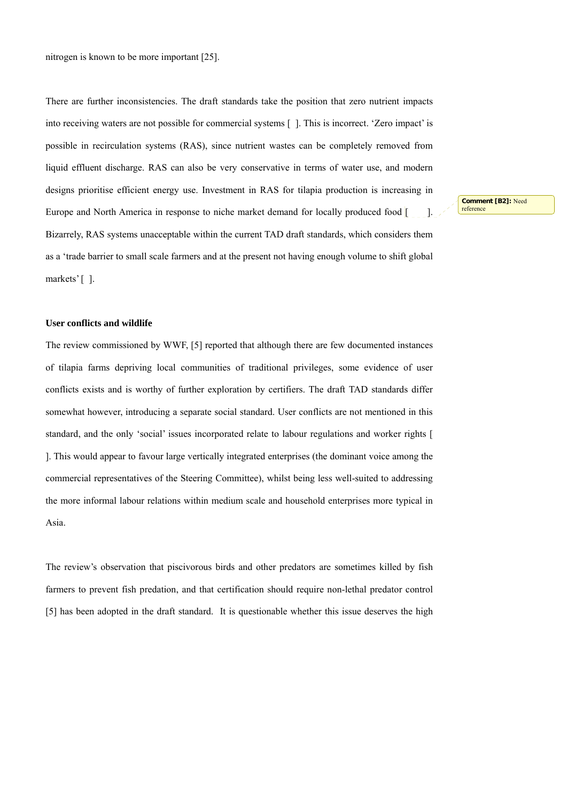nitrogen is known to be more important [25].

There are further inconsistencies. The draft standards take the position that zero nutrient impacts into receiving waters are not possible for commercial systems [ ]. This is incorrect. 'Zero impact' is possible in recirculation systems (RAS), since nutrient wastes can be completely removed from liquid effluent discharge. RAS can also be very conservative in terms of water use, and modern designs prioritise efficient energy use. Investment in RAS for tilapia production is increasing in Europe and North America in response to niche market demand for locally produced food  $\begin{bmatrix} 1 \\ 1 \end{bmatrix}$ . Bizarrely, RAS systems unacceptable within the current TAD draft standards, which considers them as a 'trade barrier to small scale farmers and at the present not having enough volume to shift global markets' [].

**User conflicts and wildlife** 

The review commissioned by WWF, [5] reported that although there are few documented instances of tilapia farms depriving local communities of traditional privileges, some evidence of user conflicts exists and is worthy of further exploration by certifiers. The draft TAD standards differ somewhat however, introducing a separate social standard. User conflicts are not mentioned in this standard, and the only 'social' issues incorporated relate to labour regulations and worker rights [ ]. This would appear to favour large vertically integrated enterprises (the dominant voice among the commercial representatives of the Steering Committee), whilst being less well-suited to addressing the more informal labour relations within medium scale and household enterprises more typical in Asia.

The review's observation that piscivorous birds and other predators are sometimes killed by fish farmers to prevent fish predation, and that certification should require non-lethal predator control [5] has been adopted in the draft standard. It is questionable whether this issue deserves the high

**Comment [B2]:** Need reference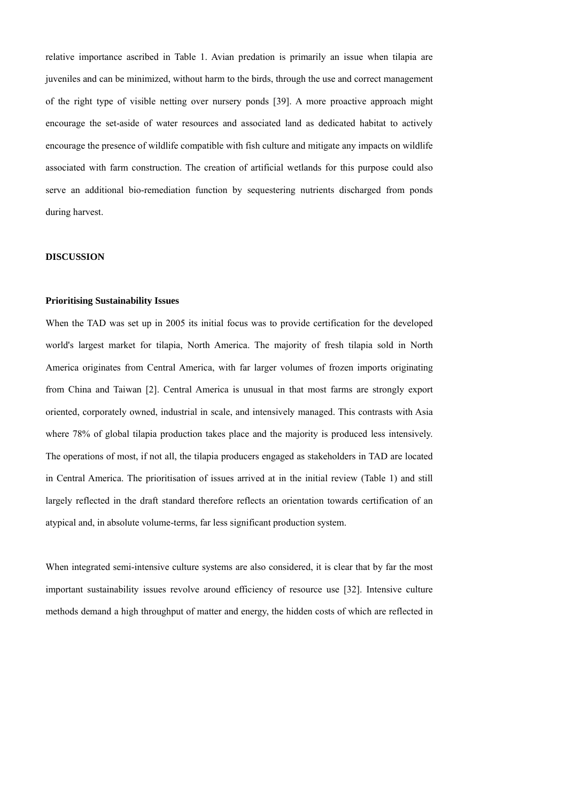relative importance ascribed in Table 1. Avian predation is primarily an issue when tilapia are juveniles and can be minimized, without harm to the birds, through the use and correct management of the right type of visible netting over nursery ponds [39]. A more proactive approach might encourage the set-aside of water resources and associated land as dedicated habitat to actively encourage the presence of wildlife compatible with fish culture and mitigate any impacts on wildlife associated with farm construction. The creation of artificial wetlands for this purpose could also serve an additional bio-remediation function by sequestering nutrients discharged from ponds during harvest.

# **DISCUSSION**

#### **Prioritising Sustainability Issues**

When the TAD was set up in 2005 its initial focus was to provide certification for the developed world's largest market for tilapia, North America. The majority of fresh tilapia sold in North America originates from Central America, with far larger volumes of frozen imports originating from China and Taiwan [2]. Central America is unusual in that most farms are strongly export oriented, corporately owned, industrial in scale, and intensively managed. This contrasts with Asia where 78% of global tilapia production takes place and the majority is produced less intensively. The operations of most, if not all, the tilapia producers engaged as stakeholders in TAD are located in Central America. The prioritisation of issues arrived at in the initial review (Table 1) and still largely reflected in the draft standard therefore reflects an orientation towards certification of an atypical and, in absolute volume-terms, far less significant production system.

When integrated semi-intensive culture systems are also considered, it is clear that by far the most important sustainability issues revolve around efficiency of resource use [32]. Intensive culture methods demand a high throughput of matter and energy, the hidden costs of which are reflected in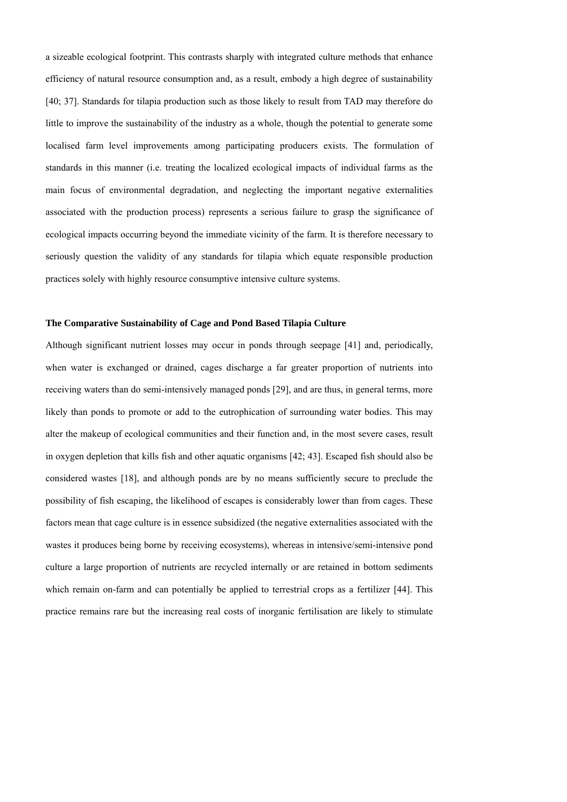a sizeable ecological footprint. This contrasts sharply with integrated culture methods that enhance efficiency of natural resource consumption and, as a result, embody a high degree of sustainability [40; 37]. Standards for tilapia production such as those likely to result from TAD may therefore do little to improve the sustainability of the industry as a whole, though the potential to generate some localised farm level improvements among participating producers exists. The formulation of standards in this manner (i.e. treating the localized ecological impacts of individual farms as the main focus of environmental degradation, and neglecting the important negative externalities associated with the production process) represents a serious failure to grasp the significance of ecological impacts occurring beyond the immediate vicinity of the farm. It is therefore necessary to seriously question the validity of any standards for tilapia which equate responsible production practices solely with highly resource consumptive intensive culture systems.

#### **The Comparative Sustainability of Cage and Pond Based Tilapia Culture**

Although significant nutrient losses may occur in ponds through seepage [41] and, periodically, when water is exchanged or drained, cages discharge a far greater proportion of nutrients into receiving waters than do semi-intensively managed ponds [29], and are thus, in general terms, more likely than ponds to promote or add to the eutrophication of surrounding water bodies. This may alter the makeup of ecological communities and their function and, in the most severe cases, result in oxygen depletion that kills fish and other aquatic organisms [42; 43]. Escaped fish should also be considered wastes [18], and although ponds are by no means sufficiently secure to preclude the possibility of fish escaping, the likelihood of escapes is considerably lower than from cages. These factors mean that cage culture is in essence subsidized (the negative externalities associated with the wastes it produces being borne by receiving ecosystems), whereas in intensive/semi-intensive pond culture a large proportion of nutrients are recycled internally or are retained in bottom sediments which remain on-farm and can potentially be applied to terrestrial crops as a fertilizer [44]. This practice remains rare but the increasing real costs of inorganic fertilisation are likely to stimulate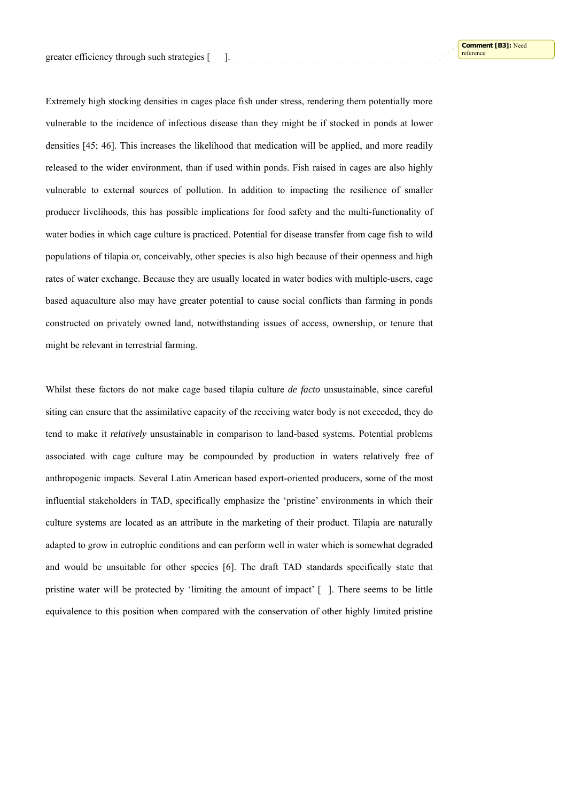Extremely high stocking densities in cages place fish under stress, rendering them potentially more vulnerable to the incidence of infectious disease than they might be if stocked in ponds at lower densities [45; 46]. This increases the likelihood that medication will be applied, and more readily released to the wider environment, than if used within ponds. Fish raised in cages are also highly vulnerable to external sources of pollution. In addition to impacting the resilience of smaller producer livelihoods, this has possible implications for food safety and the multi-functionality of water bodies in which cage culture is practiced. Potential for disease transfer from cage fish to wild populations of tilapia or, conceivably, other species is also high because of their openness and high rates of water exchange. Because they are usually located in water bodies with multiple-users, cage based aquaculture also may have greater potential to cause social conflicts than farming in ponds constructed on privately owned land, notwithstanding issues of access, ownership, or tenure that might be relevant in terrestrial farming.

Whilst these factors do not make cage based tilapia culture *de facto* unsustainable, since careful siting can ensure that the assimilative capacity of the receiving water body is not exceeded, they do tend to make it *relatively* unsustainable in comparison to land-based systems*.* Potential problems associated with cage culture may be compounded by production in waters relatively free of anthropogenic impacts. Several Latin American based export-oriented producers, some of the most influential stakeholders in TAD, specifically emphasize the 'pristine' environments in which their culture systems are located as an attribute in the marketing of their product. Tilapia are naturally adapted to grow in eutrophic conditions and can perform well in water which is somewhat degraded and would be unsuitable for other species [6]. The draft TAD standards specifically state that pristine water will be protected by 'limiting the amount of impact'  $\lceil$   $\rceil$ . There seems to be little equivalence to this position when compared with the conservation of other highly limited pristine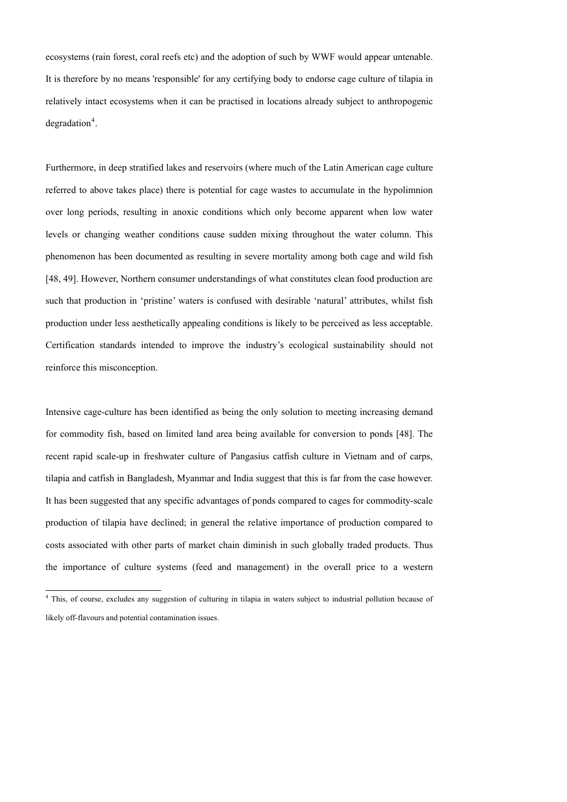ecosystems (rain forest, coral reefs etc) and the adoption of such by WWF would appear untenable. It is therefore by no means 'responsible' for any certifying body to endorse cage culture of tilapia in relatively intact ecosystems when it can be practised in locations already subject to anthropogenic  $degradation<sup>4</sup>$  $degradation<sup>4</sup>$  $degradation<sup>4</sup>$ .

Furthermore, in deep stratified lakes and reservoirs (where much of the Latin American cage culture referred to above takes place) there is potential for cage wastes to accumulate in the hypolimnion over long periods, resulting in anoxic conditions which only become apparent when low water levels or changing weather conditions cause sudden mixing throughout the water column. This phenomenon has been documented as resulting in severe mortality among both cage and wild fish [48, 49]. However, Northern consumer understandings of what constitutes clean food production are such that production in 'pristine' waters is confused with desirable 'natural' attributes, whilst fish production under less aesthetically appealing conditions is likely to be perceived as less acceptable. Certification standards intended to improve the industry's ecological sustainability should not reinforce this misconception.

Intensive cage-culture has been identified as being the only solution to meeting increasing demand for commodity fish, based on limited land area being available for conversion to ponds [48]. The recent rapid scale-up in freshwater culture of Pangasius catfish culture in Vietnam and of carps, tilapia and catfish in Bangladesh, Myanmar and India suggest that this is far from the case however. It has been suggested that any specific advantages of ponds compared to cages for commodity-scale production of tilapia have declined; in general the relative importance of production compared to costs associated with other parts of market chain diminish in such globally traded products. Thus the importance of culture systems (feed and management) in the overall price to a western

<span id="page-15-0"></span> 4 This, of course, excludes any suggestion of culturing in tilapia in waters subject to industrial pollution because of likely off-flavours and potential contamination issues.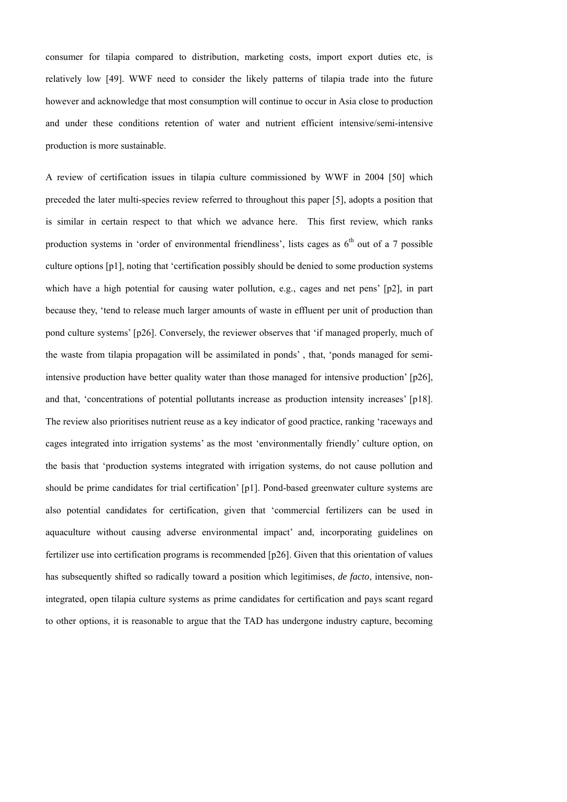consumer for tilapia compared to distribution, marketing costs, import export duties etc, is relatively low [49]. WWF need to consider the likely patterns of tilapia trade into the future however and acknowledge that most consumption will continue to occur in Asia close to production and under these conditions retention of water and nutrient efficient intensive/semi-intensive production is more sustainable.

A review of certification issues in tilapia culture commissioned by WWF in 2004 [50] which preceded the later multi-species review referred to throughout this paper [5], adopts a position that is similar in certain respect to that which we advance here. This first review, which ranks production systems in 'order of environmental friendliness', lists cages as  $6<sup>th</sup>$  out of a 7 possible culture options [p1], noting that 'certification possibly should be denied to some production systems which have a high potential for causing water pollution, e.g., cages and net pens' [p2], in part because they, 'tend to release much larger amounts of waste in effluent per unit of production than pond culture systems' [p26]. Conversely, the reviewer observes that 'if managed properly, much of the waste from tilapia propagation will be assimilated in ponds' , that, 'ponds managed for semiintensive production have better quality water than those managed for intensive production' [p26], and that, 'concentrations of potential pollutants increase as production intensity increases' [p18]. The review also prioritises nutrient reuse as a key indicator of good practice, ranking 'raceways and cages integrated into irrigation systems' as the most 'environmentally friendly' culture option, on the basis that 'production systems integrated with irrigation systems, do not cause pollution and should be prime candidates for trial certification' [p1]. Pond-based greenwater culture systems are also potential candidates for certification, given that 'commercial fertilizers can be used in aquaculture without causing adverse environmental impact' and, incorporating guidelines on fertilizer use into certification programs is recommended [p26]. Given that this orientation of values has subsequently shifted so radically toward a position which legitimises, *de facto*, intensive, nonintegrated, open tilapia culture systems as prime candidates for certification and pays scant regard to other options, it is reasonable to argue that the TAD has undergone industry capture, becoming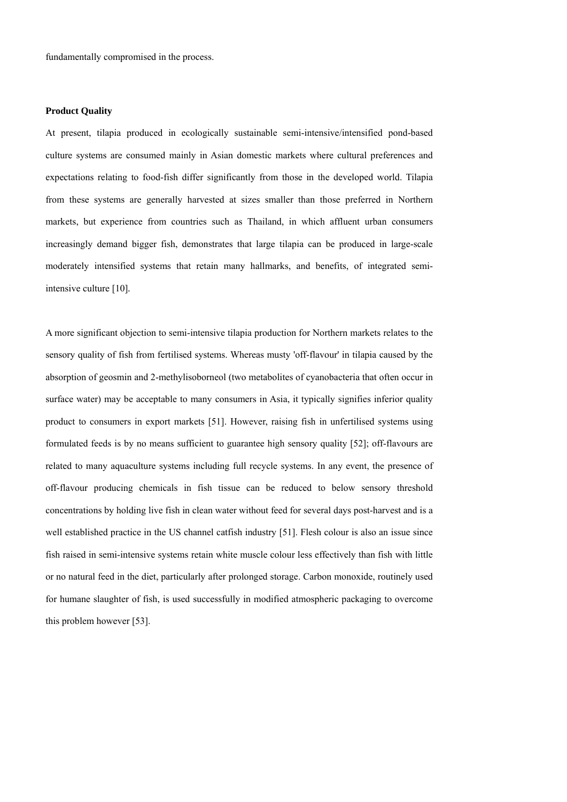fundamentally compromised in the process.

### **Product Quality**

At present, tilapia produced in ecologically sustainable semi-intensive/intensified pond-based culture systems are consumed mainly in Asian domestic markets where cultural preferences and expectations relating to food-fish differ significantly from those in the developed world. Tilapia from these systems are generally harvested at sizes smaller than those preferred in Northern markets, but experience from countries such as Thailand, in which affluent urban consumers increasingly demand bigger fish, demonstrates that large tilapia can be produced in large-scale moderately intensified systems that retain many hallmarks, and benefits, of integrated semiintensive culture [10]*.* 

A more significant objection to semi-intensive tilapia production for Northern markets relates to the sensory quality of fish from fertilised systems. Whereas musty 'off-flavour' in tilapia caused by the absorption of geosmin and 2-methylisoborneol (two metabolites of cyanobacteria that often occur in surface water) may be acceptable to many consumers in Asia, it typically signifies inferior quality product to consumers in export markets [51]. However, raising fish in unfertilised systems using formulated feeds is by no means sufficient to guarantee high sensory quality [52]; off-flavours are related to many aquaculture systems including full recycle systems. In any event, the presence of off-flavour producing chemicals in fish tissue can be reduced to below sensory threshold concentrations by holding live fish in clean water without feed for several days post-harvest and is a well established practice in the US channel catfish industry [51]. Flesh colour is also an issue since fish raised in semi-intensive systems retain white muscle colour less effectively than fish with little or no natural feed in the diet, particularly after prolonged storage. Carbon monoxide, routinely used for humane slaughter of fish, is used successfully in modified atmospheric packaging to overcome this problem however [53].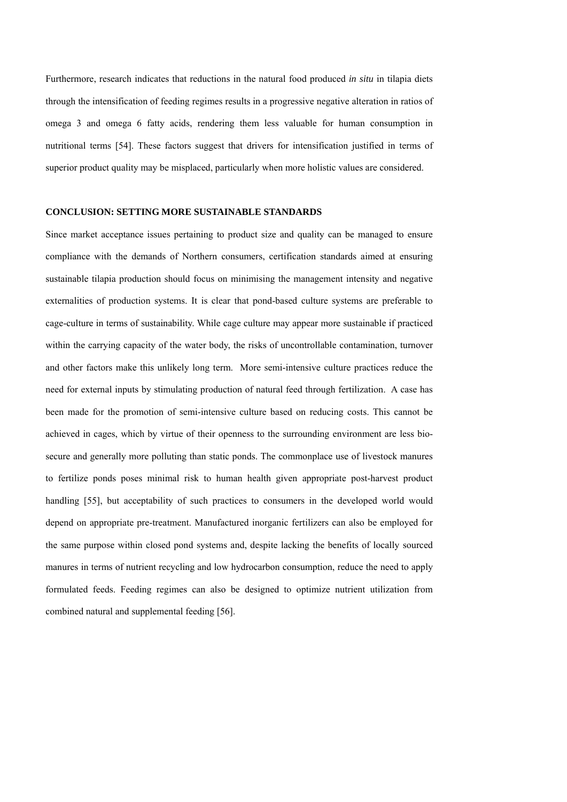Furthermore, research indicates that reductions in the natural food produced *in situ* in tilapia diets through the intensification of feeding regimes results in a progressive negative alteration in ratios of omega 3 and omega 6 fatty acids, rendering them less valuable for human consumption in nutritional terms [54]. These factors suggest that drivers for intensification justified in terms of superior product quality may be misplaced, particularly when more holistic values are considered.

### **CONCLUSION: SETTING MORE SUSTAINABLE STANDARDS**

Since market acceptance issues pertaining to product size and quality can be managed to ensure compliance with the demands of Northern consumers, certification standards aimed at ensuring sustainable tilapia production should focus on minimising the management intensity and negative externalities of production systems. It is clear that pond-based culture systems are preferable to cage-culture in terms of sustainability. While cage culture may appear more sustainable if practiced within the carrying capacity of the water body, the risks of uncontrollable contamination, turnover and other factors make this unlikely long term. More semi-intensive culture practices reduce the need for external inputs by stimulating production of natural feed through fertilization. A case has been made for the promotion of semi-intensive culture based on reducing costs. This cannot be achieved in cages, which by virtue of their openness to the surrounding environment are less biosecure and generally more polluting than static ponds. The commonplace use of livestock manures to fertilize ponds poses minimal risk to human health given appropriate post-harvest product handling [55], but acceptability of such practices to consumers in the developed world would depend on appropriate pre-treatment. Manufactured inorganic fertilizers can also be employed for the same purpose within closed pond systems and, despite lacking the benefits of locally sourced manures in terms of nutrient recycling and low hydrocarbon consumption, reduce the need to apply formulated feeds. Feeding regimes can also be designed to optimize nutrient utilization from combined natural and supplemental feeding [56].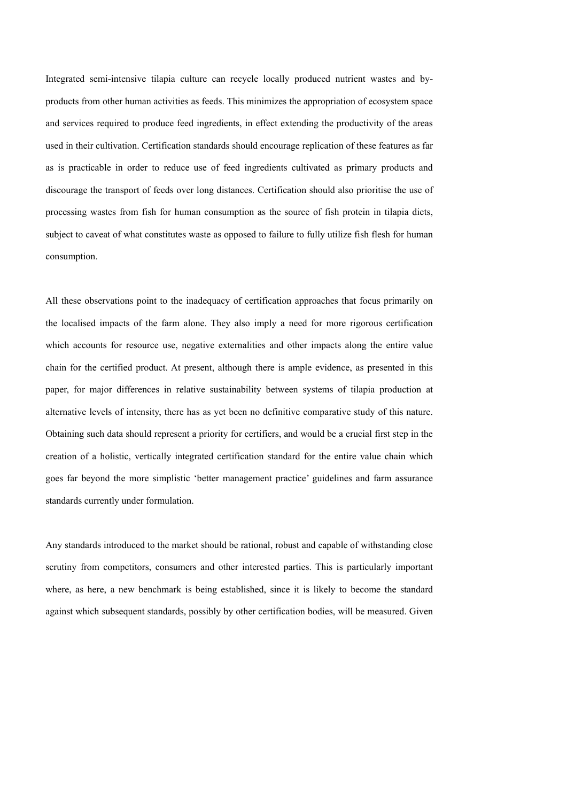Integrated semi-intensive tilapia culture can recycle locally produced nutrient wastes and byproducts from other human activities as feeds. This minimizes the appropriation of ecosystem space and services required to produce feed ingredients, in effect extending the productivity of the areas used in their cultivation. Certification standards should encourage replication of these features as far as is practicable in order to reduce use of feed ingredients cultivated as primary products and discourage the transport of feeds over long distances. Certification should also prioritise the use of processing wastes from fish for human consumption as the source of fish protein in tilapia diets, subject to caveat of what constitutes waste as opposed to failure to fully utilize fish flesh for human consumption.

All these observations point to the inadequacy of certification approaches that focus primarily on the localised impacts of the farm alone. They also imply a need for more rigorous certification which accounts for resource use, negative externalities and other impacts along the entire value chain for the certified product. At present, although there is ample evidence, as presented in this paper, for major differences in relative sustainability between systems of tilapia production at alternative levels of intensity, there has as yet been no definitive comparative study of this nature. Obtaining such data should represent a priority for certifiers, and would be a crucial first step in the creation of a holistic, vertically integrated certification standard for the entire value chain which goes far beyond the more simplistic 'better management practice' guidelines and farm assurance standards currently under formulation.

Any standards introduced to the market should be rational, robust and capable of withstanding close scrutiny from competitors, consumers and other interested parties. This is particularly important where, as here, a new benchmark is being established, since it is likely to become the standard against which subsequent standards, possibly by other certification bodies, will be measured. Given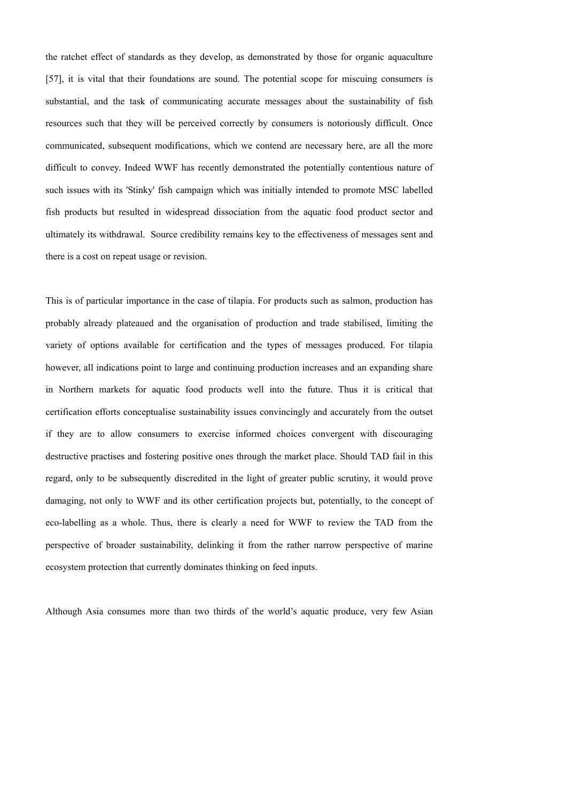the ratchet effect of standards as they develop, as demonstrated by those for organic aquaculture [57], it is vital that their foundations are sound. The potential scope for miscuing consumers is substantial, and the task of communicating accurate messages about the sustainability of fish resources such that they will be perceived correctly by consumers is notoriously difficult. Once communicated, subsequent modifications, which we contend are necessary here, are all the more difficult to convey. Indeed WWF has recently demonstrated the potentially contentious nature of such issues with its 'Stinky' fish campaign which was initially intended to promote MSC labelled fish products but resulted in widespread dissociation from the aquatic food product sector and ultimately its withdrawal. Source credibility remains key to the effectiveness of messages sent and there is a cost on repeat usage or revision.

This is of particular importance in the case of tilapia. For products such as salmon, production has probably already plateaued and the organisation of production and trade stabilised, limiting the variety of options available for certification and the types of messages produced. For tilapia however, all indications point to large and continuing production increases and an expanding share in Northern markets for aquatic food products well into the future. Thus it is critical that certification efforts conceptualise sustainability issues convincingly and accurately from the outset if they are to allow consumers to exercise informed choices convergent with discouraging destructive practises and fostering positive ones through the market place. Should TAD fail in this regard, only to be subsequently discredited in the light of greater public scrutiny, it would prove damaging, not only to WWF and its other certification projects but, potentially, to the concept of eco-labelling as a whole. Thus, there is clearly a need for WWF to review the TAD from the perspective of broader sustainability, delinking it from the rather narrow perspective of marine ecosystem protection that currently dominates thinking on feed inputs.

Although Asia consumes more than two thirds of the world's aquatic produce, very few Asian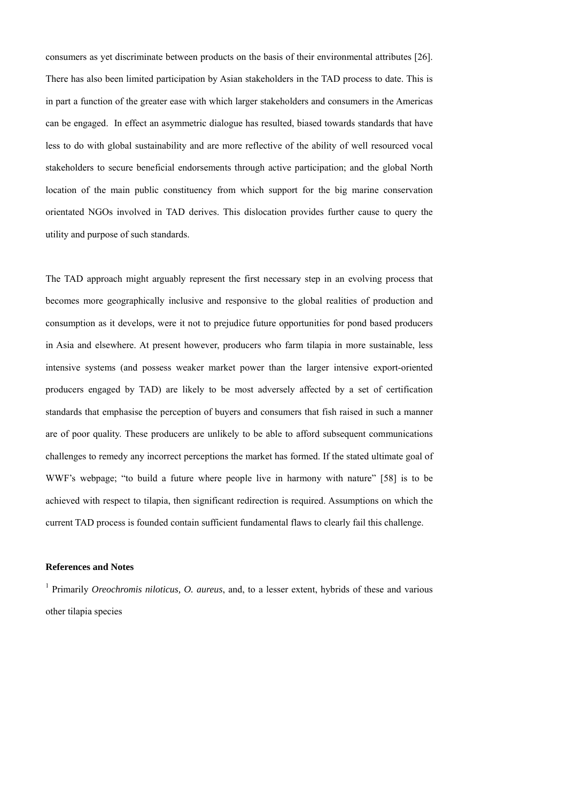consumers as yet discriminate between products on the basis of their environmental attributes [26]. There has also been limited participation by Asian stakeholders in the TAD process to date. This is in part a function of the greater ease with which larger stakeholders and consumers in the Americas can be engaged. In effect an asymmetric dialogue has resulted, biased towards standards that have less to do with global sustainability and are more reflective of the ability of well resourced vocal stakeholders to secure beneficial endorsements through active participation; and the global North location of the main public constituency from which support for the big marine conservation orientated NGOs involved in TAD derives. This dislocation provides further cause to query the utility and purpose of such standards.

The TAD approach might arguably represent the first necessary step in an evolving process that becomes more geographically inclusive and responsive to the global realities of production and consumption as it develops, were it not to prejudice future opportunities for pond based producers in Asia and elsewhere. At present however, producers who farm tilapia in more sustainable, less intensive systems (and possess weaker market power than the larger intensive export-oriented producers engaged by TAD) are likely to be most adversely affected by a set of certification standards that emphasise the perception of buyers and consumers that fish raised in such a manner are of poor quality. These producers are unlikely to be able to afford subsequent communications challenges to remedy any incorrect perceptions the market has formed. If the stated ultimate goal of WWF's webpage; "to build a future where people live in harmony with nature" [58] is to be achieved with respect to tilapia, then significant redirection is required. Assumptions on which the current TAD process is founded contain sufficient fundamental flaws to clearly fail this challenge.

# **References and Notes**

1 Primarily *Oreochromis niloticus, O. aureus*, and, to a lesser extent, hybrids of these and various other tilapia species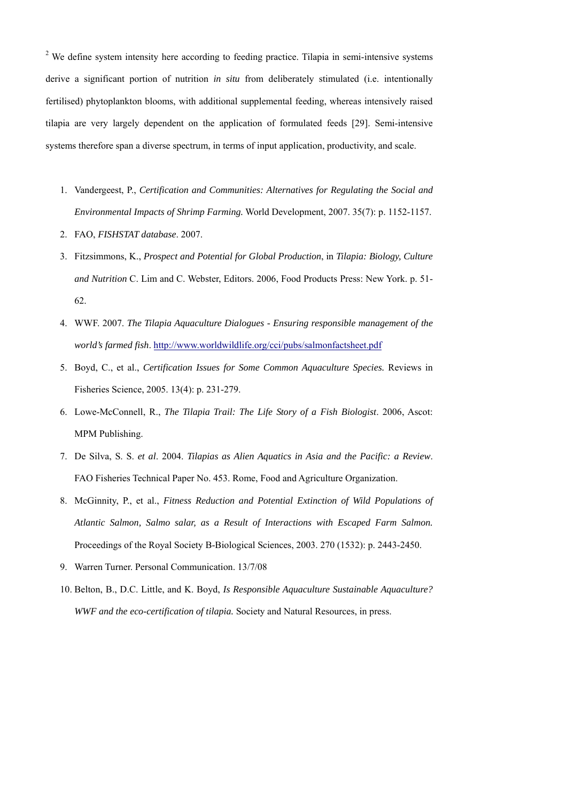$2$  We define system intensity here according to feeding practice. Tilapia in semi-intensive systems derive a significant portion of nutrition *in situ* from deliberately stimulated (i.e. intentionally fertilised) phytoplankton blooms, with additional supplemental feeding, whereas intensively raised tilapia are very largely dependent on the application of formulated feeds [29]. Semi-intensive systems therefore span a diverse spectrum, in terms of input application, productivity, and scale.

- 1. Vandergeest, P., *Certification and Communities: Alternatives for Regulating the Social and Environmental Impacts of Shrimp Farming.* World Development, 2007. 35(7): p. 1152-1157.
- 2. FAO, *FISHSTAT database*. 2007.
- 3. Fitzsimmons, K., *Prospect and Potential for Global Production*, in *Tilapia: Biology, Culture and Nutrition* C. Lim and C. Webster, Editors. 2006, Food Products Press: New York. p. 51- 62.
- 4. WWF. 2007. *The Tilapia Aquaculture Dialogues Ensuring responsible management of the world's farmed fish*.<http://www.worldwildlife.org/cci/pubs/salmonfactsheet.pdf>
- 5. Boyd, C., et al., *Certification Issues for Some Common Aquaculture Species.* Reviews in Fisheries Science, 2005. 13(4): p. 231-279.
- 6. Lowe-McConnell, R., *The Tilapia Trail: The Life Story of a Fish Biologist*. 2006, Ascot: MPM Publishing.
- 7. De Silva, S. S. *et al*. 2004. *Tilapias as Alien Aquatics in Asia and the Pacific: a Review*. FAO Fisheries Technical Paper No. 453. Rome, Food and Agriculture Organization.
- 8. McGinnity, P., et al., *Fitness Reduction and Potential Extinction of Wild Populations of Atlantic Salmon, Salmo salar, as a Result of Interactions with Escaped Farm Salmon.* Proceedings of the Royal Society B-Biological Sciences, 2003. 270 (1532): p. 2443-2450.
- 9. Warren Turner. Personal Communication. 13/7/08
- 10. Belton, B., D.C. Little, and K. Boyd, *Is Responsible Aquaculture Sustainable Aquaculture? WWF and the eco-certification of tilapia.* Society and Natural Resources, in press.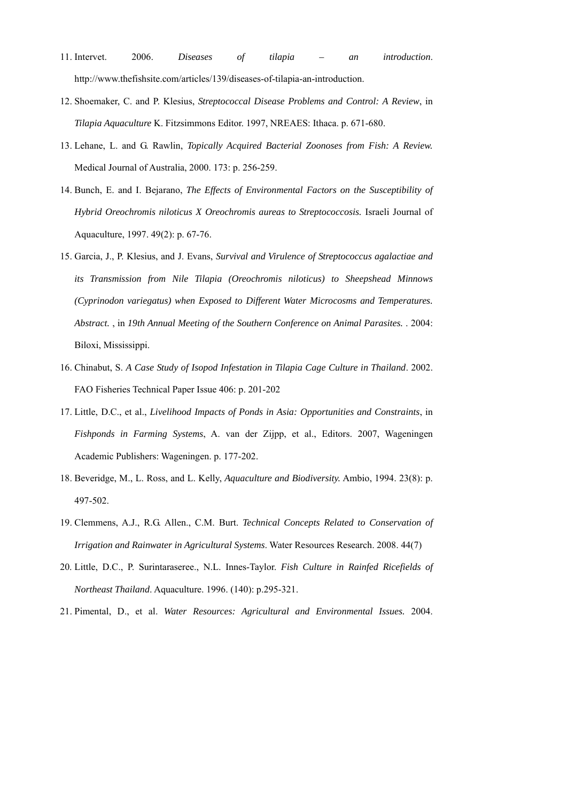- 11. Intervet. 2006. *Diseases of tilapia an introduction*. http://www.thefishsite.com/articles/139/diseases-of-tilapia-an-introduction.
- 12. Shoemaker, C. and P. Klesius, *Streptococcal Disease Problems and Control: A Review*, in *Tilapia Aquaculture* K. Fitzsimmons Editor. 1997, NREAES: Ithaca. p. 671-680.
- 13. Lehane, L. and G. Rawlin, *Topically Acquired Bacterial Zoonoses from Fish: A Review.* Medical Journal of Australia, 2000. 173: p. 256-259.
- 14. Bunch, E. and I. Bejarano, *The Effects of Environmental Factors on the Susceptibility of Hybrid Oreochromis niloticus X Oreochromis aureas to Streptococcosis.* Israeli Journal of Aquaculture, 1997. 49(2): p. 67-76.
- 15. Garcia, J., P. Klesius, and J. Evans, *Survival and Virulence of Streptococcus agalactiae and its Transmission from Nile Tilapia (Oreochromis niloticus) to Sheepshead Minnows (Cyprinodon variegatus) when Exposed to Different Water Microcosms and Temperatures. Abstract.* , in *19th Annual Meeting of the Southern Conference on Animal Parasites.* . 2004: Biloxi, Mississippi.
- 16. Chinabut, S. *A Case Study of Isopod Infestation in Tilapia Cage Culture in Thailand*. 2002. FAO Fisheries Technical Paper Issue 406: p. 201-202
- 17. Little, D.C., et al., *Livelihood Impacts of Ponds in Asia: Opportunities and Constraints*, in *Fishponds in Farming Systems*, A. van der Zijpp, et al., Editors. 2007, Wageningen Academic Publishers: Wageningen. p. 177-202.
- 18. Beveridge, M., L. Ross, and L. Kelly, *Aquaculture and Biodiversity.* Ambio, 1994. 23(8): p. 497-502.
- 19. Clemmens, A.J., R.G. Allen., C.M. Burt. *Technical Concepts Related to Conservation of Irrigation and Rainwater in Agricultural Systems*. Water Resources Research. 2008. 44(7)
- 20. Little, D.C., P. Surintaraseree., N.L. Innes-Taylor. *Fish Culture in Rainfed Ricefields of Northeast Thailand*. Aquaculture. 1996. (140): p.295-321.
- 21. Pimental, D., et al. *Water Resources: Agricultural and Environmental Issues.* 2004.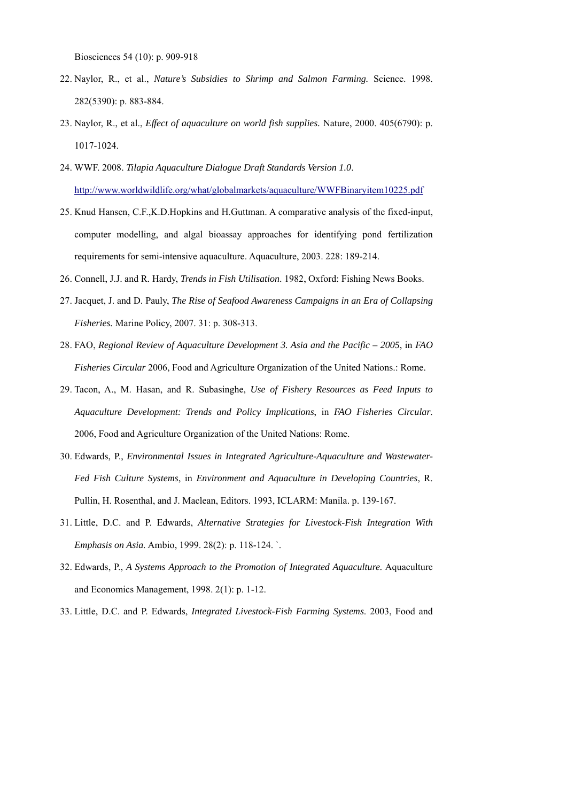Biosciences 54 (10): p. 909-918

- 22. Naylor, R., et al., *Nature's Subsidies to Shrimp and Salmon Farming.* Science. 1998. 282(5390): p. 883-884.
- 23. Naylor, R., et al., *Effect of aquaculture on world fish supplies.* Nature, 2000. 405(6790): p. 1017-1024.
- 24. WWF. 2008. *Tilapia Aquaculture Dialogue Draft Standards Version 1.0*. <http://www.worldwildlife.org/what/globalmarkets/aquaculture/WWFBinaryitem10225.pdf>
- 25. Knud Hansen, C.F.,K.D.Hopkins and H.Guttman. A comparative analysis of the fixed-input, computer modelling, and algal bioassay approaches for identifying pond fertilization requirements for semi-intensive aquaculture. Aquaculture, 2003. 228: 189-214.
- 26. Connell, J.J. and R. Hardy, *Trends in Fish Utilisation*. 1982, Oxford: Fishing News Books.
- 27. Jacquet, J. and D. Pauly, *The Rise of Seafood Awareness Campaigns in an Era of Collapsing Fisheries.* Marine Policy, 2007. 31: p. 308-313.
- 28. FAO, *Regional Review of Aquaculture Development 3. Asia and the Pacific 2005*, in *FAO Fisheries Circular* 2006, Food and Agriculture Organization of the United Nations.: Rome.
- 29. Tacon, A., M. Hasan, and R. Subasinghe, *Use of Fishery Resources as Feed Inputs to Aquaculture Development: Trends and Policy Implications*, in *FAO Fisheries Circular*. 2006, Food and Agriculture Organization of the United Nations: Rome.
- 30. Edwards, P., *Environmental Issues in Integrated Agriculture-Aquaculture and Wastewater-Fed Fish Culture Systems*, in *Environment and Aquaculture in Developing Countries*, R. Pullin, H. Rosenthal, and J. Maclean, Editors. 1993, ICLARM: Manila. p. 139-167.
- 31. Little, D.C. and P. Edwards, *Alternative Strategies for Livestock-Fish Integration With Emphasis on Asia.* Ambio, 1999. 28(2): p. 118-124. `.
- 32. Edwards, P., *A Systems Approach to the Promotion of Integrated Aquaculture.* Aquaculture and Economics Management, 1998. 2(1): p. 1-12.
- 33. Little, D.C. and P. Edwards, *Integrated Livestock-Fish Farming Systems*. 2003, Food and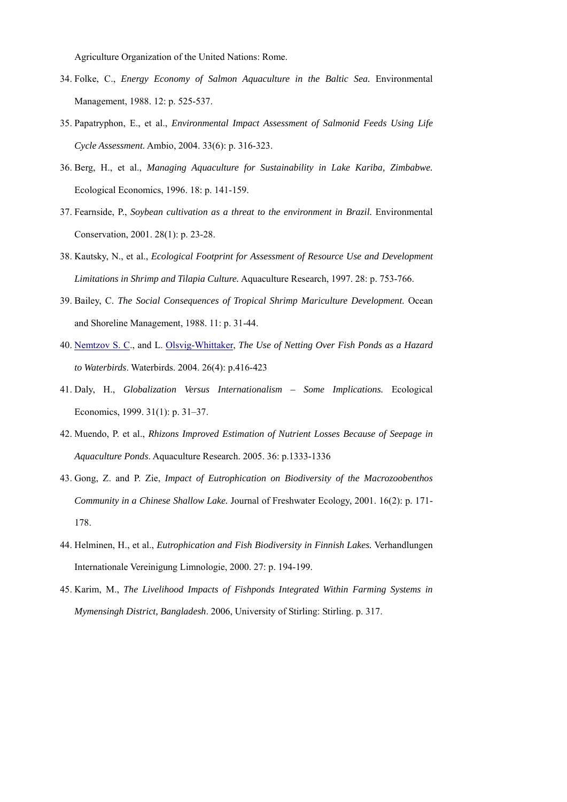Agriculture Organization of the United Nations: Rome.

- 34. Folke, C., *Energy Economy of Salmon Aquaculture in the Baltic Sea.* Environmental Management, 1988. 12: p. 525-537.
- 35. Papatryphon, E., et al., *Environmental Impact Assessment of Salmonid Feeds Using Life Cycle Assessment.* Ambio, 2004. 33(6): p. 316-323.
- 36. Berg, H., et al., *Managing Aquaculture for Sustainability in Lake Kariba, Zimbabwe.* Ecological Economics, 1996. 18: p. 141-159.
- 37. Fearnside, P., *Soybean cultivation as a threat to the environment in Brazil.* Environmental Conservation, 2001. 28(1): p. 23-28.
- 38. Kautsky, N., et al., *Ecological Footprint for Assessment of Resource Use and Development Limitations in Shrimp and Tilapia Culture.* Aquaculture Research, 1997. 28: p. 753-766.
- 39. Bailey, C. *The Social Consequences of Tropical Shrimp Mariculture Development.* Ocean and Shoreline Management, 1988. 11: p. 31-44.
- 40. [Nemtzov S. C.](http://apps.isiknowledge.com/OneClickSearch.do?product=UA&search_mode=OneClickSearch&doc=2&db_id=&SID=R11MnONdNK6111mD7Jo&field=AU&value=Nemtzov%20SC&ut=000188262500005&pos=1&cacheurlFromRightClick=no), and L. [Olsvig-Whittaker,](http://apps.isiknowledge.com/OneClickSearch.do?product=UA&search_mode=OneClickSearch&doc=2&db_id=&SID=R11MnONdNK6111mD7Jo&field=AU&value=Olsvig-Whittaker%20L&ut=000188262500005&pos=2) *The Use of Netting Over Fish Ponds as a Hazard to Waterbirds*. Waterbirds. 2004. 26(4): p.416-423
- 41. Daly, H., *Globalization Versus Internationalism Some Implications.* Ecological Economics, 1999. 31(1): p. 31–37.
- 42. Muendo, P. et al., *Rhizons Improved Estimation of Nutrient Losses Because of Seepage in Aquaculture Ponds*. Aquaculture Research. 2005. 36: p.1333-1336
- 43. Gong, Z. and P. Zie, *Impact of Eutrophication on Biodiversity of the Macrozoobenthos Community in a Chinese Shallow Lake.* Journal of Freshwater Ecology, 2001. 16(2): p. 171- 178.
- 44. Helminen, H., et al., *Eutrophication and Fish Biodiversity in Finnish Lakes.* Verhandlungen Internationale Vereinigung Limnologie, 2000. 27: p. 194-199.
- 45. Karim, M., *The Livelihood Impacts of Fishponds Integrated Within Farming Systems in Mymensingh District, Bangladesh*. 2006, University of Stirling: Stirling. p. 317.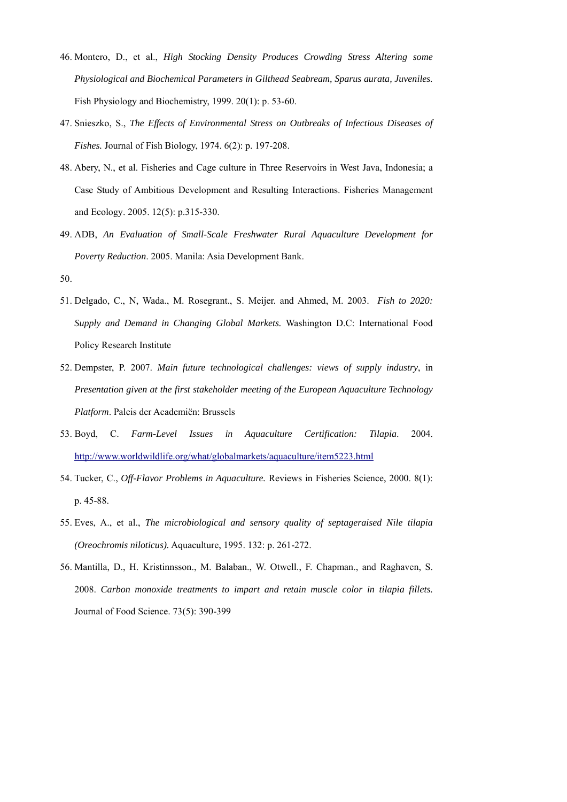- 46. Montero, D., et al., *High Stocking Density Produces Crowding Stress Altering some Physiological and Biochemical Parameters in Gilthead Seabream, Sparus aurata, Juveniles.* Fish Physiology and Biochemistry, 1999. 20(1): p. 53-60.
- 47. Snieszko, S., *The Effects of Environmental Stress on Outbreaks of Infectious Diseases of Fishes.* Journal of Fish Biology, 1974. 6(2): p. 197-208.
- 48. Abery, N., et al. Fisheries and Cage culture in Three Reservoirs in West Java, Indonesia; a Case Study of Ambitious Development and Resulting Interactions. Fisheries Management and Ecology. 2005. 12(5): p.315-330.
- 49. ADB, *An Evaluation of Small-Scale Freshwater Rural Aquaculture Development for Poverty Reduction*. 2005. Manila: Asia Development Bank.
- 50.
- 51. Delgado, C., N, Wada., M. Rosegrant., S. Meijer. and Ahmed, M. 2003. *Fish to 2020: Supply and Demand in Changing Global Markets.* Washington D.C: International Food Policy Research Institute
- 52. Dempster, P. 2007. *Main future technological challenges: views of supply industry*, in *Presentation given at the first stakeholder meeting of the European Aquaculture Technology Platform*. Paleis der Academiën: Brussels
- 53. Boyd, C. *Farm-Level Issues in Aquaculture Certification: Tilapia*. 2004. <http://www.worldwildlife.org/what/globalmarkets/aquaculture/item5223.html>
- 54. Tucker, C., *Off-Flavor Problems in Aquaculture.* Reviews in Fisheries Science, 2000. 8(1): p. 45-88.
- 55. Eves, A., et al., *The microbiological and sensory quality of septageraised Nile tilapia (Oreochromis niloticus).* Aquaculture, 1995. 132: p. 261-272.
- 56. Mantilla, D., H. Kristinnsson., M. Balaban., W. Otwell., F. Chapman., and Raghaven, S. 2008. *Carbon monoxide treatments to impart and retain muscle color in tilapia fillets.* Journal of Food Science. 73(5): 390-399